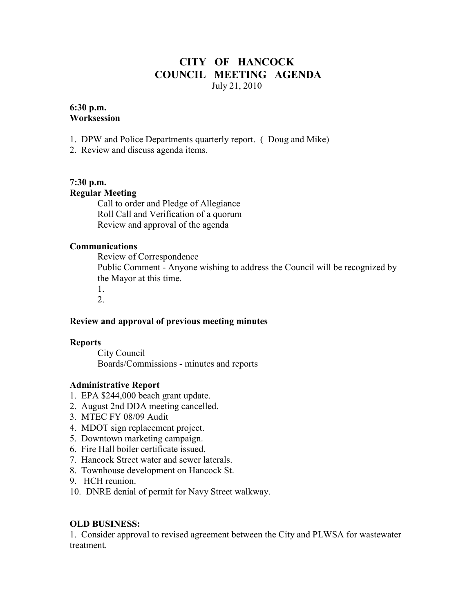## **CITY OF HANCOCK COUNCIL MEETING AGENDA**  July 21, 2010

#### **6:30 p.m. Worksession**

- 1. DPW and Police Departments quarterly report. ( Doug and Mike)
- 2. Review and discuss agenda items.

# **7:30 p.m.**

# **Regular Meeting**

 Call to order and Pledge of Allegiance Roll Call and Verification of a quorum Review and approval of the agenda

#### **Communications**

 Review of Correspondence Public Comment - Anyone wishing to address the Council will be recognized by the Mayor at this time. 1. 2.

### **Review and approval of previous meeting minutes**

### **Reports**

City Council Boards/Commissions - minutes and reports

### **Administrative Report**

- 1. EPA \$244,000 beach grant update.
- 2. August 2nd DDA meeting cancelled.
- 3. MTEC FY 08/09 Audit
- 4. MDOT sign replacement project.
- 5. Downtown marketing campaign.
- 6. Fire Hall boiler certificate issued.
- 7. Hancock Street water and sewer laterals.
- 8. Townhouse development on Hancock St.
- 9. HCH reunion.
- 10. DNRE denial of permit for Navy Street walkway.

### **OLD BUSINESS:**

1. Consider approval to revised agreement between the City and PLWSA for wastewater treatment.